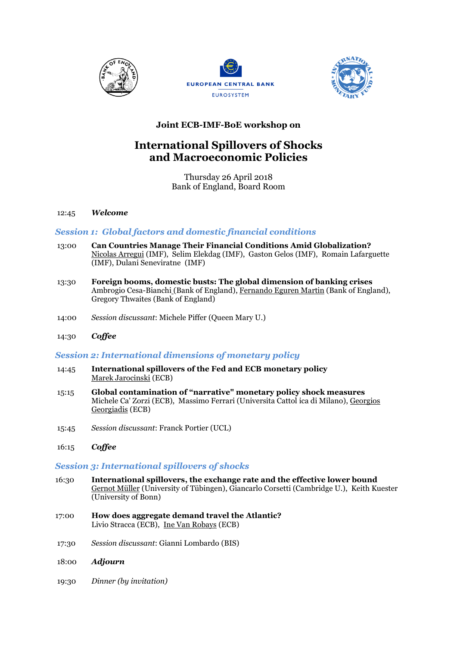





## **Joint ECB-IMF-BoE workshop on**

# **International Spillovers of Shocks and Macroeconomic Policies**

Thursday 26 April 2018 Bank of England, Board Room

#### 12:45 *Welcome*

## *Session 1: Global factors and domestic financial conditions*

- 13:00 **Can Countries Manage Their Financial Conditions Amid Globalization?** Nicolas Arregui (IMF), Selim Elekdag (IMF), Gaston Gelos (IMF), Romain Lafarguette (IMF), Dulani Seneviratne (IMF)
- 13:30 **Foreign booms, domestic busts: The global dimension of banking crises** Ambrogio Cesa-Bianchi (Bank of England), Fernando Eguren Martin (Bank of England), Gregory Thwaites (Bank of England)
- 14:00 *Session discussant*: Michele Piffer (Queen Mary U.)
- 14:30 *Coffee*

## *Session 2: International dimensions of monetary policy*

- 14:45 **International spillovers of the Fed and ECB monetary policy** Marek Jarocinski (ECB)
- 15:15 **Global contamination of "narrative" monetary policy shock measures** Michele Ca' Zorzi (ECB), Massimo Ferrari (Universita Cattol ica di Milano), Georgios Georgiadis (ECB)
- 15:45 *Session discussant*: Franck Portier (UCL)
- 16:15 *Coffee*

## *Session 3: International spillovers of shocks*

- 16:30 **International spillovers, the exchange rate and the effective lower bound** Gernot Müller (University of Tübingen), Giancarlo Corsetti (Cambridge U.), Keith Kuester (University of Bonn)
- 17:00 **How does aggregate demand travel the Atlantic?** Livio Stracca (ECB), Ine Van Robays (ECB)
- 17:30 *Session discussant*: Gianni Lombardo (BIS)
- 18:00 *Adjourn*
- 19:30 *Dinner (by invitation)*